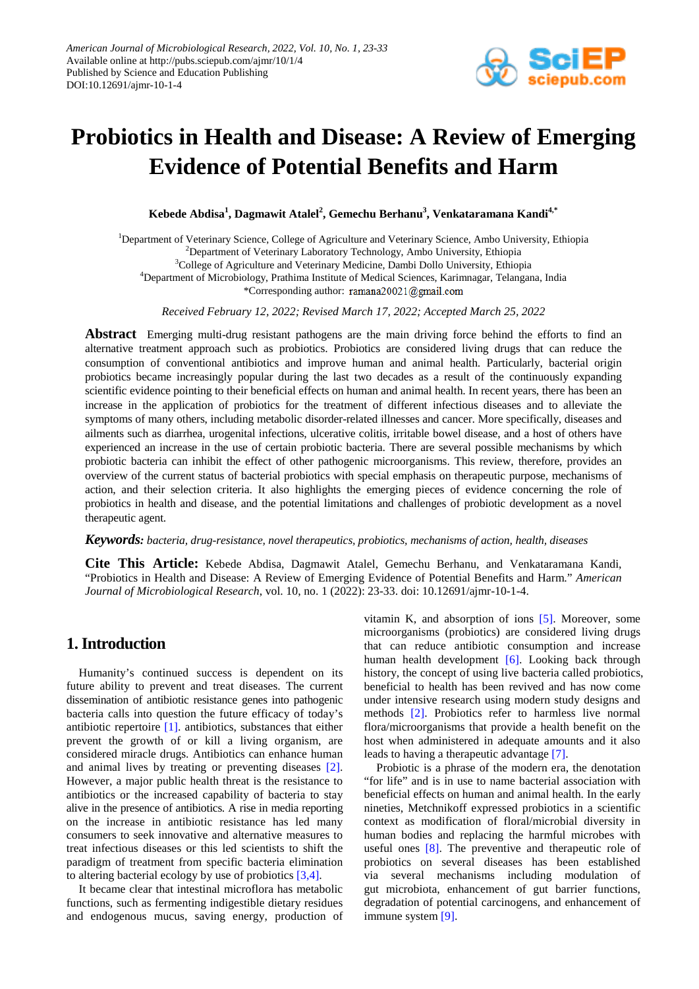

# **Probiotics in Health and Disease: A Review of Emerging Evidence of Potential Benefits and Harm**

 $\mathbf{K}$ ebede Abdisa<sup>1</sup>, Dagmawit Atalel<sup>2</sup>, Gemechu Berhanu<sup>3</sup>, Venkataramana Kandi<sup>4,\*</sup>

<sup>1</sup>Department of Veterinary Science, College of Agriculture and Veterinary Science, Ambo University, Ethiopia <sup>2</sup>Department of Veterinary Laboratory Technology, Ambo University, Ethiopia <sup>3</sup>College of Agriculture and Veterinary Medicine, Dambi Dollo University, Ethiopia 4 Department of Microbiology, Prathima Institute of Medical Sciences, Karimnagar, Telangana, India \*Corresponding author: ramana20021@gmail.com

*Received February 12, 2022; Revised March 17, 2022; Accepted March 25, 2022*

**Abstract** Emerging multi-drug resistant pathogens are the main driving force behind the efforts to find an alternative treatment approach such as probiotics. Probiotics are considered living drugs that can reduce the consumption of conventional antibiotics and improve human and animal health. Particularly, bacterial origin probiotics became increasingly popular during the last two decades as a result of the continuously expanding scientific evidence pointing to their beneficial effects on human and animal health. In recent years, there has been an increase in the application of probiotics for the treatment of different infectious diseases and to alleviate the symptoms of many others, including metabolic disorder-related illnesses and cancer. More specifically, diseases and ailments such as diarrhea, urogenital infections, ulcerative colitis, irritable bowel disease, and a host of others have experienced an increase in the use of certain probiotic bacteria. There are several possible mechanisms by which probiotic bacteria can inhibit the effect of other pathogenic microorganisms. This review, therefore, provides an overview of the current status of bacterial probiotics with special emphasis on therapeutic purpose, mechanisms of action, and their selection criteria. It also highlights the emerging pieces of evidence concerning the role of probiotics in health and disease, and the potential limitations and challenges of probiotic development as a novel therapeutic agent.

#### *Keywords: bacteria, drug-resistance, novel therapeutics, probiotics, mechanisms of action, health, diseases*

**Cite This Article:** Kebede Abdisa, Dagmawit Atalel, Gemechu Berhanu, and Venkataramana Kandi, "Probiotics in Health and Disease: A Review of Emerging Evidence of Potential Benefits and Harm." *American Journal of Microbiological Research*, vol. 10, no. 1 (2022): 23-33. doi: 10.12691/ajmr-10-1-4.

# **1. Introduction**

Humanity's continued success is dependent on its future ability to prevent and treat diseases. The current dissemination of antibiotic resistance genes into pathogenic bacteria calls into question the future efficacy of today's antibiotic repertoire [\[1\].](#page-7-0) antibiotics, substances that either prevent the growth of or kill a living organism, are considered miracle drugs. Antibiotics can enhance human and animal lives by treating or preventing diseases [\[2\].](#page-7-1) However, a major public health threat is the resistance to antibiotics or the increased capability of bacteria to stay alive in the presence of antibiotics. A rise in media reporting on the increase in antibiotic resistance has led many consumers to seek innovative and alternative measures to treat infectious diseases or this led scientists to shift the paradigm of treatment from specific bacteria elimination to altering bacterial ecology by use of probiotic[s \[3,4\].](#page-7-2)

It became clear that intestinal microflora has metabolic functions, such as fermenting indigestible dietary residues and endogenous mucus, saving energy, production of vitamin K, and absorption of ions [\[5\].](#page-7-3) Moreover, some microorganisms (probiotics) are considered living drugs that can reduce antibiotic consumption and increase human health development [\[6\].](#page-7-4) Looking back through history, the concept of using live bacteria called probiotics, beneficial to health has been revived and has now come under intensive research using modern study designs and methods [\[2\].](#page-7-1) Probiotics refer to harmless live normal flora/microorganisms that provide a health benefit on the host when administered in adequate amounts and it also leads to having a therapeutic advantage [\[7\].](#page-7-5)

Probiotic is a phrase of the modern era, the denotation "for life" and is in use to name bacterial association with beneficial effects on human and animal health. In the early nineties, Metchnikoff expressed probiotics in a scientific context as modification of floral/microbial diversity in human bodies and replacing the harmful microbes with useful ones [\[8\].](#page-7-6) The preventive and therapeutic role of probiotics on several diseases has been established via several mechanisms including modulation of gut microbiota, enhancement of gut barrier functions, degradation of potential carcinogens, and enhancement of immune system [\[9\].](#page-7-7)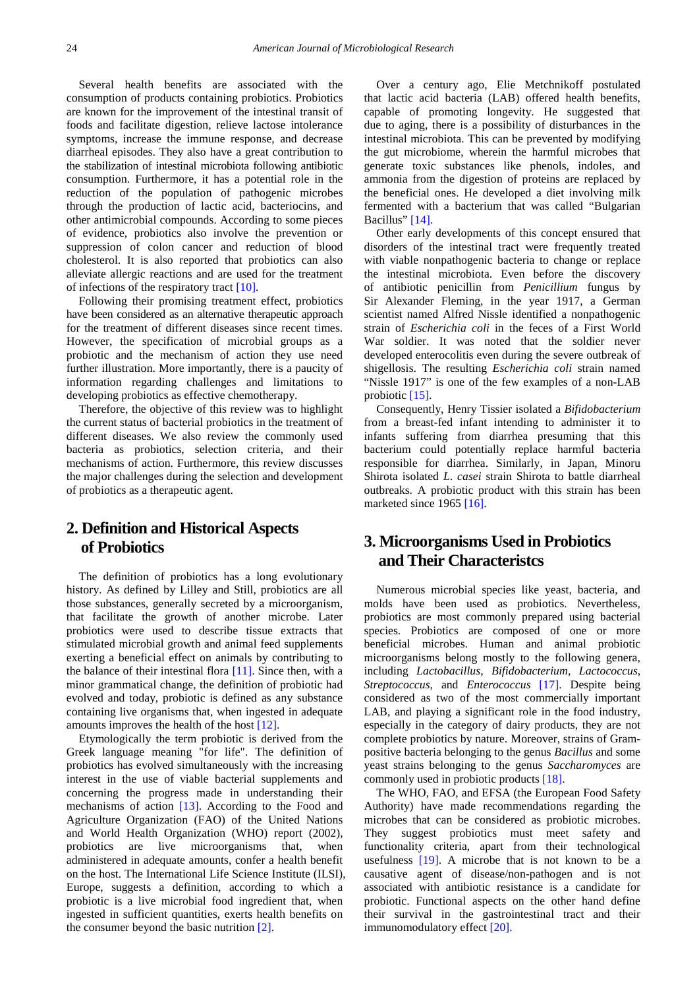Several health benefits are associated with the consumption of products containing probiotics. Probiotics are known for the improvement of the intestinal transit of foods and facilitate digestion, relieve lactose intolerance symptoms, increase the immune response, and decrease diarrheal episodes. They also have a great contribution to the stabilization of intestinal microbiota following antibiotic consumption. Furthermore, it has a potential role in the reduction of the population of pathogenic microbes through the production of lactic acid, bacteriocins, and other antimicrobial compounds. According to some pieces of evidence, probiotics also involve the prevention or suppression of colon cancer and reduction of blood cholesterol. It is also reported that probiotics can also alleviate allergic reactions and are used for the treatment of infections of the respiratory tract [\[10\].](#page-7-8)

Following their promising treatment effect, probiotics have been considered as an alternative therapeutic approach for the treatment of different diseases since recent times. However, the specification of microbial groups as a probiotic and the mechanism of action they use need further illustration. More importantly, there is a paucity of information regarding challenges and limitations to developing probiotics as effective chemotherapy.

Therefore, the objective of this review was to highlight the current status of bacterial probiotics in the treatment of different diseases. We also review the commonly used bacteria as probiotics, selection criteria, and their mechanisms of action. Furthermore, this review discusses the major challenges during the selection and development of probiotics as a therapeutic agent.

# **2. Definition and Historical Aspects of Probiotics**

The definition of probiotics has a long evolutionary history. As defined by Lilley and Still, probiotics are all those substances, generally secreted by a microorganism, that facilitate the growth of another microbe. Later probiotics were used to describe tissue extracts that stimulated microbial growth and animal feed supplements exerting a beneficial effect on animals by contributing to the balance of their intestinal flora [\[11\].](#page-7-9) Since then, with a minor grammatical change, the definition of probiotic had evolved and today, probiotic is defined as any substance containing live organisms that, when ingested in adequate amounts improves the health of the host [\[12\].](#page-7-10)

Etymologically the term probiotic is derived from the Greek language meaning "for life". The definition of probiotics has evolved simultaneously with the increasing interest in the use of viable bacterial supplements and concerning the progress made in understanding their mechanisms of action [\[13\].](#page-7-11) According to the Food and Agriculture Organization (FAO) of the United Nations and World Health Organization (WHO) report (2002), probiotics are live microorganisms that, when administered in adequate amounts, confer a health benefit on the host. The International Life Science Institute (ILSI), Europe, suggests a definition, according to which a probiotic is a live microbial food ingredient that, when ingested in sufficient quantities, exerts health benefits on the consumer beyond the basic nutrition [\[2\].](#page-7-1)

Over a century ago, Elie Metchnikoff postulated that lactic acid bacteria (LAB) offered health benefits, capable of promoting longevity. He suggested that due to aging, there is a possibility of disturbances in the intestinal microbiota. This can be prevented by modifying the gut microbiome, wherein the harmful microbes that generate toxic substances like phenols, indoles, and ammonia from the digestion of proteins are replaced by the beneficial ones. He developed a diet involving milk fermented with a bacterium that was called "Bulgarian Bacillus" [\[14\].](#page-7-12)

Other early developments of this concept ensured that disorders of the intestinal tract were frequently treated with viable nonpathogenic bacteria to change or replace the intestinal microbiota. Even before the discovery of antibiotic penicillin from *Penicillium* fungus by Sir Alexander Fleming, in the year 1917, a German scientist named Alfred Nissle identified a nonpathogenic strain of *Escherichia coli* in the feces of a First World War soldier. It was noted that the soldier never developed enterocolitis even during the severe outbreak of shigellosis. The resulting *Escherichia coli* strain named "Nissle 1917" is one of the few examples of a non-LAB probiotic [\[15\].](#page-7-13)

Consequently, Henry Tissier isolated a *Bifidobacterium*  from a breast-fed infant intending to administer it to infants suffering from diarrhea presuming that this bacterium could potentially replace harmful bacteria responsible for diarrhea. Similarly, in Japan, Minoru Shirota isolated *L*. *casei* strain Shirota to battle diarrheal outbreaks. A probiotic product with this strain has been marketed since 1965 [\[16\].](#page-7-14)

# **3. Microorganisms Used in Probiotics and Their Characteristcs**

Numerous microbial species like yeast, bacteria, and molds have been used as probiotics. Nevertheless, probiotics are most commonly prepared using bacterial species. Probiotics are composed of one or more beneficial microbes. Human and animal probiotic microorganisms belong mostly to the following genera, including *Lactobacillus*, *Bifidobacterium*, *Lactococcus*, *Streptococcus*, and *Enterococcus* [\[17\].](#page-8-0) Despite being considered as two of the most commercially important LAB, and playing a significant role in the food industry, especially in the category of dairy products, they are not complete probiotics by nature. Moreover, strains of Grampositive bacteria belonging to the genus *Bacillus* and some yeast strains belonging to the genus *Saccharomyces* are commonly used in probiotic products [\[18\].](#page-8-1)

The WHO, FAO, and EFSA (the European Food Safety Authority) have made recommendations regarding the microbes that can be considered as probiotic microbes. They suggest probiotics must meet safety and functionality criteria, apart from their technological usefulness [\[19\].](#page-8-2) A microbe that is not known to be a causative agent of disease/non-pathogen and is not associated with antibiotic resistance is a candidate for probiotic. Functional aspects on the other hand define their survival in the gastrointestinal tract and their immunomodulatory effect [\[20\].](#page-8-3)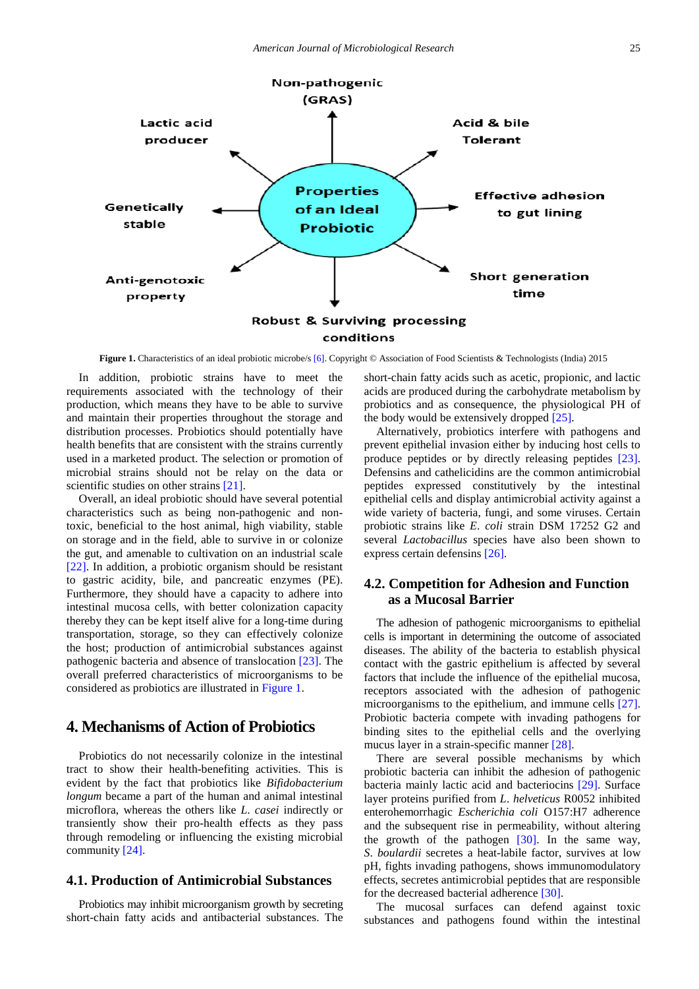<span id="page-2-0"></span>

**Figure 1.** Characteristics of an ideal probiotic microbe/[s \[6\].](#page-7-4) Copyright © Association of Food Scientists & Technologists (India) 2015

In addition, probiotic strains have to meet the requirements associated with the technology of their production, which means they have to be able to survive and maintain their properties throughout the storage and distribution processes. Probiotics should potentially have health benefits that are consistent with the strains currently used in a marketed product. The selection or promotion of microbial strains should not be relay on the data or scientific studies on other strains [\[21\].](#page-8-4)

Overall, an ideal probiotic should have several potential characteristics such as being non-pathogenic and nontoxic, beneficial to the host animal, high viability, stable on storage and in the field, able to survive in or colonize the gut, and amenable to cultivation on an industrial scale [\[22\].](#page-8-5) In addition, a probiotic organism should be resistant to gastric acidity, bile, and pancreatic enzymes (PE). Furthermore, they should have a capacity to adhere into intestinal mucosa cells, with better colonization capacity thereby they can be kept itself alive for a long-time during transportation, storage, so they can effectively colonize the host; production of antimicrobial substances against pathogenic bacteria and absence of translocation [\[23\].](#page-8-6) The overall preferred characteristics of microorganisms to be considered as probiotics are illustrated in [Figure 1.](#page-2-0)

# **4. Mechanisms of Action of Probiotics**

Probiotics do not necessarily colonize in the intestinal tract to show their health-benefiting activities. This is evident by the fact that probiotics like *Bifidobacterium longum* became a part of the human and animal intestinal microflora, whereas the others like *L*. *casei* indirectly or transiently show their pro-health effects as they pass through remodeling or influencing the existing microbial community [\[24\].](#page-8-7) 

#### **4.1. Production of Antimicrobial Substances**

Probiotics may inhibit microorganism growth by secreting short-chain fatty acids and antibacterial substances. The

short-chain fatty acids such as acetic, propionic, and lactic acids are produced during the carbohydrate metabolism by probiotics and as consequence, the physiological PH of the body would be extensively dropped [\[25\].](#page-8-8)

Alternatively, probiotics interfere with pathogens and prevent epithelial invasion either by inducing host cells to produce peptides or by directly releasing peptides [\[23\].](#page-8-6) Defensins and cathelicidins are the common antimicrobial peptides expressed constitutively by the intestinal epithelial cells and display antimicrobial activity against a wide variety of bacteria, fungi, and some viruses. Certain probiotic strains like *E*. *coli* strain DSM 17252 G2 and several *Lactobacillus* species have also been shown to express certain defensin[s \[26\].](#page-8-9)

## **4.2. Competition for Adhesion and Function as a Mucosal Barrier**

The adhesion of pathogenic microorganisms to epithelial cells is important in determining the outcome of associated diseases. The ability of the bacteria to establish physical contact with the gastric epithelium is affected by several factors that include the influence of the epithelial mucosa, receptors associated with the adhesion of pathogenic microorganisms to the epithelium, and immune cells [\[27\].](#page-8-10) Probiotic bacteria compete with invading pathogens for binding sites to the epithelial cells and the overlying mucus layer in a strain-specific manner [\[28\].](#page-8-11)

There are several possible mechanisms by which probiotic bacteria can inhibit the adhesion of pathogenic bacteria mainly lactic acid and bacteriocins [\[29\].](#page-8-12) Surface layer proteins purified from *L*. *helveticus* R0052 inhibited enterohemorrhagic *Escherichia coli* O157:H7 adherence and the subsequent rise in permeability, without altering the growth of the pathogen [\[30\].](#page-8-13) In the same way, *S*. *boulardii* secretes a heat-labile factor, survives at low pH, fights invading pathogens, shows immunomodulatory effects, secretes antimicrobial peptides that are responsible for the decreased bacterial adherence [\[30\].](#page-8-13)

The mucosal surfaces can defend against toxic substances and pathogens found within the intestinal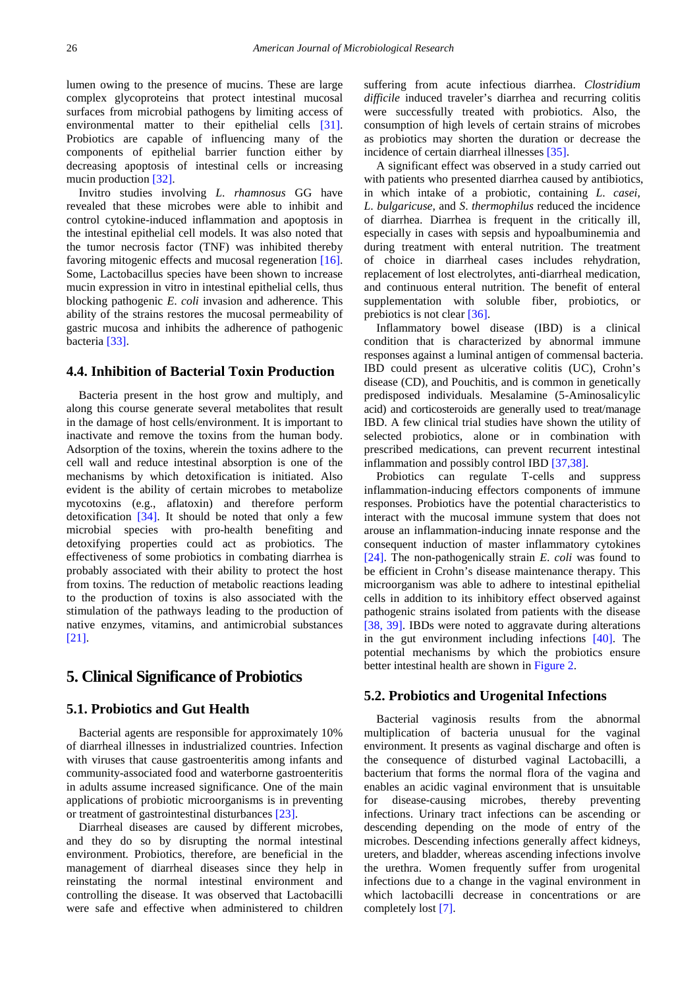lumen owing to the presence of mucins. These are large complex glycoproteins that protect intestinal mucosal surfaces from microbial pathogens by limiting access of environmental matter to their epithelial cells [\[31\].](#page-8-14) Probiotics are capable of influencing many of the components of epithelial barrier function either by decreasing apoptosis of intestinal cells or increasing mucin production [\[32\].](#page-8-15)

Invitro studies involving *L*. *rhamnosus* GG have revealed that these microbes were able to inhibit and control cytokine-induced inflammation and apoptosis in the intestinal epithelial cell models. It was also noted that the tumor necrosis factor (TNF) was inhibited thereby favoring mitogenic effects and mucosal regeneration [\[16\].](#page-7-14) Some, Lactobacillus species have been shown to increase mucin expression in vitro in intestinal epithelial cells, thus blocking pathogenic *E*. *coli* invasion and adherence. This ability of the strains restores the mucosal permeability of gastric mucosa and inhibits the adherence of pathogenic bacteria [\[33\].](#page-8-16)

#### **4.4. Inhibition of Bacterial Toxin Production**

Bacteria present in the host grow and multiply, and along this course generate several metabolites that result in the damage of host cells/environment. It is important to inactivate and remove the toxins from the human body. Adsorption of the toxins, wherein the toxins adhere to the cell wall and reduce intestinal absorption is one of the mechanisms by which detoxification is initiated. Also evident is the ability of certain microbes to metabolize mycotoxins (e.g., aflatoxin) and therefore perform detoxification [\[34\].](#page-8-17) It should be noted that only a few microbial species with pro-health benefiting and detoxifying properties could act as probiotics. The effectiveness of some probiotics in combating diarrhea is probably associated with their ability to protect the host from toxins. The reduction of metabolic reactions leading to the production of toxins is also associated with the stimulation of the pathways leading to the production of native enzymes, vitamins, and antimicrobial substances [\[21\].](#page-8-4)

# **5. Clinical Significance of Probiotics**

#### **5.1. Probiotics and Gut Health**

Bacterial agents are responsible for approximately 10% of diarrheal illnesses in industrialized countries. Infection with viruses that cause gastroenteritis among infants and community-associated food and waterborne gastroenteritis in adults assume increased significance. One of the main applications of probiotic microorganisms is in preventing or treatment of gastrointestinal disturbance[s \[23\].](#page-8-6)

Diarrheal diseases are caused by different microbes, and they do so by disrupting the normal intestinal environment. Probiotics, therefore, are beneficial in the management of diarrheal diseases since they help in reinstating the normal intestinal environment and controlling the disease. It was observed that Lactobacilli were safe and effective when administered to children suffering from acute infectious diarrhea. *Clostridium difficile* induced traveler's diarrhea and recurring colitis were successfully treated with probiotics. Also, the consumption of high levels of certain strains of microbes as probiotics may shorten the duration or decrease the incidence of certain diarrheal illnesses [\[35\].](#page-8-18)

A significant effect was observed in a study carried out with patients who presented diarrhea caused by antibiotics, in which intake of a probiotic, containing *L*. *casei*, *L*. *bulgaricuse*, and *S*. *thermophilus* reduced the incidence of diarrhea. Diarrhea is frequent in the critically ill, especially in cases with sepsis and hypoalbuminemia and during treatment with enteral nutrition. The treatment of choice in diarrheal cases includes rehydration, replacement of lost electrolytes, anti-diarrheal medication, and continuous enteral nutrition. The benefit of enteral supplementation with soluble fiber, probiotics, or prebiotics is not clear [\[36\].](#page-8-19)

Inflammatory bowel disease (IBD) is a clinical condition that is characterized by abnormal immune responses against a luminal antigen of commensal bacteria. IBD could present as ulcerative colitis (UC), Crohn's disease (CD), and Pouchitis, and is common in genetically predisposed individuals. Mesalamine (5-Aminosalicylic acid) and corticosteroids are generally used to treat/manage IBD. A few clinical trial studies have shown the utility of selected probiotics, alone or in combination with prescribed medications, can prevent recurrent intestinal inflammation and possibly control IBD [\[37,38\].](#page-8-20)

Probiotics can regulate T-cells and suppress inflammation-inducing effectors components of immune responses. Probiotics have the potential characteristics to interact with the mucosal immune system that does not arouse an inflammation-inducing innate response and the consequent induction of master inflammatory cytokines [\[24\].](#page-8-7) The non-pathogenically strain *E*. *coli* was found to be efficient in Crohn's disease maintenance therapy. This microorganism was able to adhere to intestinal epithelial cells in addition to its inhibitory effect observed against pathogenic strains isolated from patients with the disease [\[38, 39\].](#page-8-21) IBDs were noted to aggravate during alterations in the gut environment including infections [\[40\].](#page-8-22) The potential mechanisms by which the probiotics ensure better intestinal health are shown in [Figure 2.](#page-4-0)

#### **5.2. Probiotics and Urogenital Infections**

Bacterial vaginosis results from the abnormal multiplication of bacteria unusual for the vaginal environment. It presents as vaginal discharge and often is the consequence of disturbed vaginal Lactobacilli, a bacterium that forms the normal flora of the vagina and enables an acidic vaginal environment that is unsuitable for disease-causing microbes, thereby preventing infections. Urinary tract infections can be ascending or descending depending on the mode of entry of the microbes. Descending infections generally affect kidneys, ureters, and bladder, whereas ascending infections involve the urethra. Women frequently suffer from urogenital infections due to a change in the vaginal environment in which lactobacilli decrease in concentrations or are completely lost [\[7\].](#page-7-5)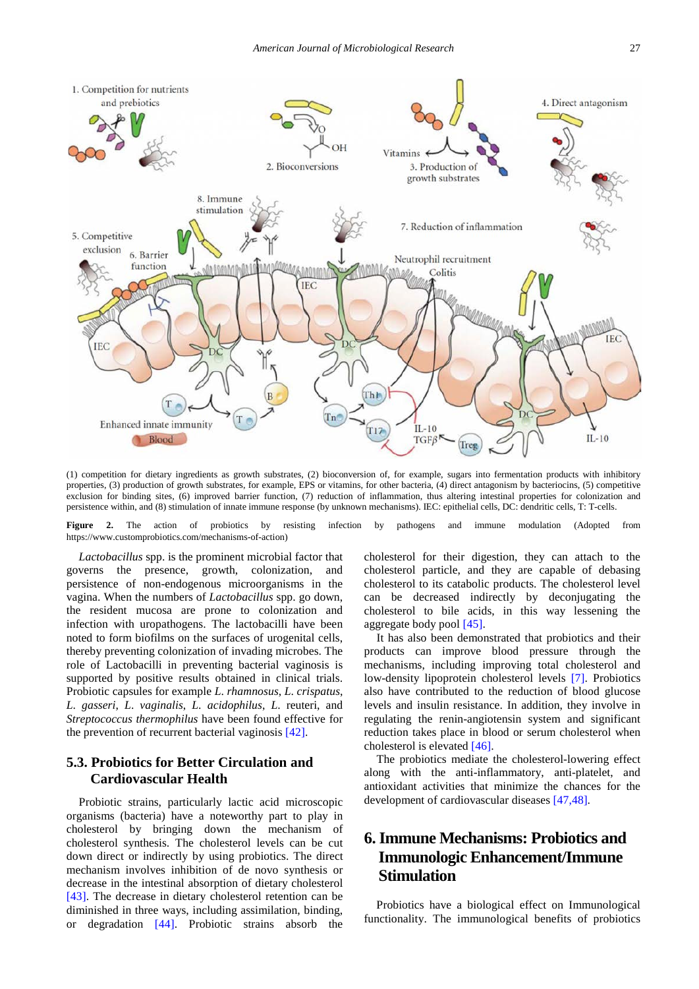<span id="page-4-0"></span>

(1) competition for dietary ingredients as growth substrates, (2) bioconversion of, for example, sugars into fermentation products with inhibitory properties, (3) production of growth substrates, for example, EPS or vitamins, for other bacteria, (4) direct antagonism by bacteriocins, (5) competitive exclusion for binding sites, (6) improved barrier function, (7) reduction of inflammation, thus altering intestinal properties for colonization and persistence within, and (8) stimulation of innate immune response (by unknown mechanisms). IEC: epithelial cells, DC: dendritic cells, T: T-cells.

**Figure 2.** The action of probiotics by resisting infection by pathogens and immune modulation (Adopted from https://www.customprobiotics.com/mechanisms-of-action)

*Lactobacillus* spp. is the prominent microbial factor that governs the presence, growth, colonization, and persistence of non-endogenous microorganisms in the vagina. When the numbers of *Lactobacillus* spp. go down, the resident mucosa are prone to colonization and infection with uropathogens. The lactobacilli have been noted to form biofilms on the surfaces of urogenital cells, thereby preventing colonization of invading microbes. The role of Lactobacilli in preventing bacterial vaginosis is supported by positive results obtained in clinical trials. Probiotic capsules for example *L*. *rhamnosus*, *L*. *crispatus*, *L*. *gasseri*, *L*. *vaginalis*, *L*. *acidophilus*, *L*. reuteri, and *Streptococcus thermophilus* have been found effective for the prevention of recurrent bacterial vaginosis [\[42\].](#page-8-23)

## **5.3. Probiotics for Better Circulation and Cardiovascular Health**

Probiotic strains, particularly lactic acid microscopic organisms (bacteria) have a noteworthy part to play in cholesterol by bringing down the mechanism of cholesterol synthesis. The cholesterol levels can be cut down direct or indirectly by using probiotics. The direct mechanism involves inhibition of de novo synthesis or decrease in the intestinal absorption of dietary cholesterol [\[43\].](#page-8-24) The decrease in dietary cholesterol retention can be diminished in three ways, including assimilation, binding, or degradation [\[44\].](#page-8-25) Probiotic strains absorb the

cholesterol for their digestion, they can attach to the cholesterol particle, and they are capable of debasing cholesterol to its catabolic products. The cholesterol level can be decreased indirectly by deconjugating the cholesterol to bile acids, in this way lessening the aggregate body pool [\[45\].](#page-8-26)

It has also been demonstrated that probiotics and their products can improve blood pressure through the mechanisms, including improving total cholesterol and low-density lipoprotein cholesterol levels [\[7\].](#page-7-5) Probiotics also have contributed to the reduction of blood glucose levels and insulin resistance. In addition, they involve in regulating the renin-angiotensin system and significant reduction takes place in blood or serum cholesterol when cholesterol is elevated [\[46\].](#page-8-27)

The probiotics mediate the cholesterol-lowering effect along with the anti-inflammatory, anti-platelet, and antioxidant activities that minimize the chances for the development of cardiovascular diseases [\[47,48\].](#page-8-28)

# **6. Immune Mechanisms: Probiotics and Immunologic Enhancement/Immune Stimulation**

Probiotics have a biological effect on Immunological functionality. The immunological benefits of probiotics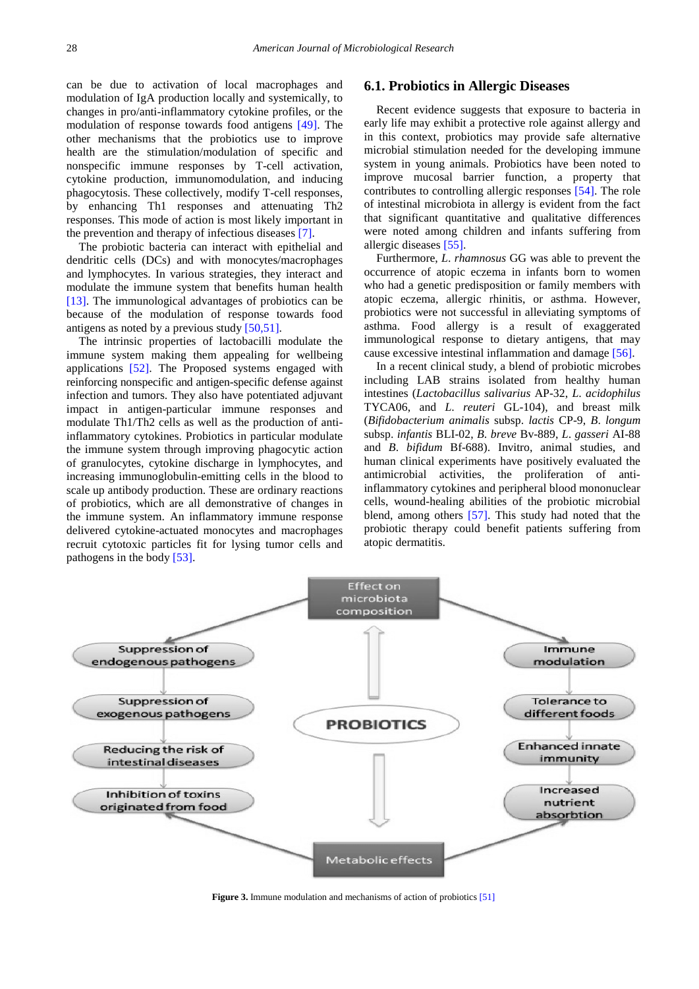can be due to activation of local macrophages and modulation of IgA production locally and systemically, to changes in pro/anti-inflammatory cytokine profiles, or the modulation of response towards food antigens [\[49\].](#page-8-29) The other mechanisms that the probiotics use to improve health are the stimulation/modulation of specific and nonspecific immune responses by T-cell activation, cytokine production, immunomodulation, and inducing phagocytosis. These collectively, modify T-cell responses, by enhancing Th1 responses and attenuating Th2 responses. This mode of action is most likely important in the prevention and therapy of infectious diseases [\[7\].](#page-7-5)

The probiotic bacteria can interact with epithelial and dendritic cells (DCs) and with monocytes/macrophages and lymphocytes. In various strategies, they interact and modulate the immune system that benefits human health [\[13\].](#page-7-11) The immunological advantages of probiotics can be because of the modulation of response towards food antigens as noted by a previous stud[y \[50,51\].](#page-8-30)

The intrinsic properties of lactobacilli modulate the immune system making them appealing for wellbeing applications [\[52\].](#page-8-31) The Proposed systems engaged with reinforcing nonspecific and antigen-specific defense against infection and tumors. They also have potentiated adjuvant impact in antigen-particular immune responses and modulate Th1/Th2 cells as well as the production of antiinflammatory cytokines. Probiotics in particular modulate the immune system through improving phagocytic action of granulocytes, cytokine discharge in lymphocytes, and increasing immunoglobulin-emitting cells in the blood to scale up antibody production. These are ordinary reactions of probiotics, which are all demonstrative of changes in the immune system. An inflammatory immune response delivered cytokine-actuated monocytes and macrophages recruit cytotoxic particles fit for lysing tumor cells and pathogens in the body [\[53\].](#page-8-32)

### **6.1. Probiotics in Allergic Diseases**

Recent evidence suggests that exposure to bacteria in early life may exhibit a protective role against allergy and in this context, probiotics may provide safe alternative microbial stimulation needed for the developing immune system in young animals. Probiotics have been noted to improve mucosal barrier function, a property that contributes to controlling allergic responses [\[54\].](#page-8-33) The role of intestinal microbiota in allergy is evident from the fact that significant quantitative and qualitative differences were noted among children and infants suffering from allergic diseases [\[55\].](#page-8-34)

Furthermore, *L*. *rhamnosus* GG was able to prevent the occurrence of atopic eczema in infants born to women who had a genetic predisposition or family members with atopic eczema, allergic rhinitis, or asthma. However, probiotics were not successful in alleviating symptoms of asthma. Food allergy is a result of exaggerated immunological response to dietary antigens, that may cause excessive intestinal inflammation and damage [\[56\].](#page-8-35)

In a recent clinical study, a blend of probiotic microbes including LAB strains isolated from healthy human intestines (*Lactobacillus salivarius* AP-32, *L*. *acidophilus* TYCA06, and *L*. *reuteri* GL-104), and breast milk (*Bifidobacterium animalis* subsp. *lactis* CP-9, *B*. *longum* subsp. *infantis* BLI-02, *B*. *breve* Bv-889, *L*. *gasseri* AI-88 and *B*. *bifidum* Bf-688). Invitro, animal studies, and human clinical experiments have positively evaluated the antimicrobial activities, the proliferation of antiinflammatory cytokines and peripheral blood mononuclear cells, wound-healing abilities of the probiotic microbial blend, among others [\[57\].](#page-8-36) This study had noted that the probiotic therapy could benefit patients suffering from atopic dermatitis.



**Figure 3.** Immune modulation and mechanisms of action of probiotics [\[51\]](#page-8-37)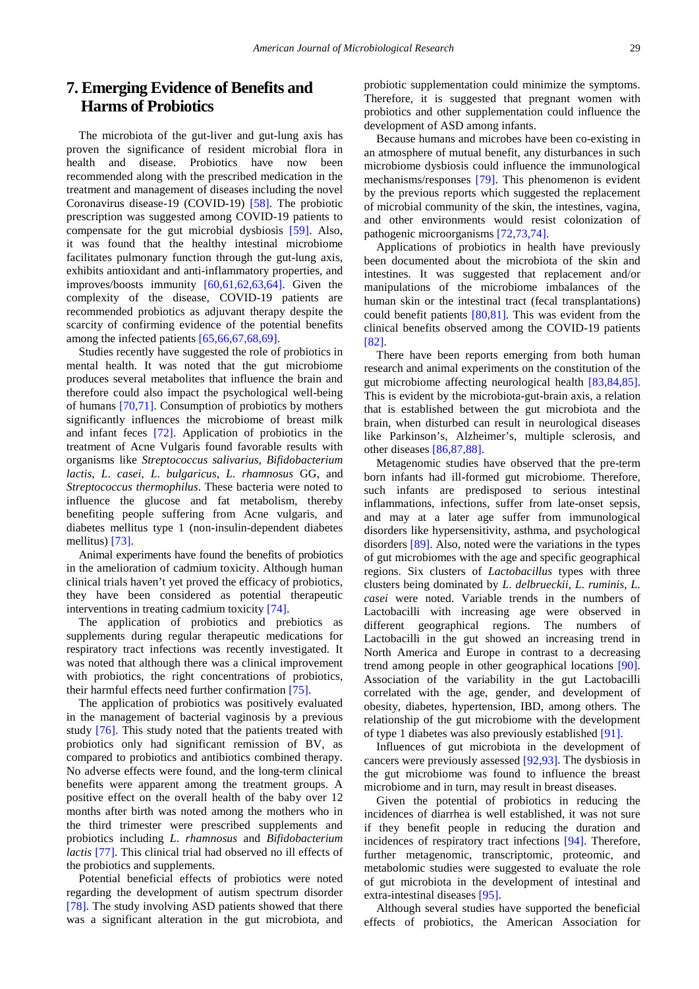# **7. Emerging Evidence of Benefits and Harms of Probiotics**

The microbiota of the gut-liver and gut-lung axis has proven the significance of resident microbial flora in health and disease. Probiotics have now been recommended along with the prescribed medication in the treatment and management of diseases including the novel Coronavirus disease-19 (COVID-19) [\[58\].](#page-8-38) The probiotic prescription was suggested among COVID-19 patients to compensate for the gut microbial dysbiosis [\[59\].](#page-8-39) Also, it was found that the healthy intestinal microbiome facilitates pulmonary function through the gut-lung axis, exhibits antioxidant and anti-inflammatory properties, and improves/boosts immunity [\[60,61,62,63,64\].](#page-8-40) Given the complexity of the disease, COVID-19 patients are recommended probiotics as adjuvant therapy despite the scarcity of confirming evidence of the potential benefits among the infected patients [\[65,66,67,68,69\].](#page-9-0)

Studies recently have suggested the role of probiotics in mental health. It was noted that the gut microbiome produces several metabolites that influence the brain and therefore could also impact the psychological well-being of humans [\[70,71\].](#page-9-1) Consumption of probiotics by mothers significantly influences the microbiome of breast milk and infant feces [\[72\].](#page-9-2) Application of probiotics in the treatment of Acne Vulgaris found favorable results with organisms like *Streptococcus salivarius*, *Bifidobacterium lactis*, *L*. *casei*, *L*. *bulgaricus*, *L*. *rhamnosus* GG, and *Streptococcus thermophilus*. These bacteria were noted to influence the glucose and fat metabolism, thereby benefiting people suffering from Acne vulgaris, and diabetes mellitus type 1 (non-insulin-dependent diabetes mellitus) [\[73\].](#page-9-3)

Animal experiments have found the benefits of probiotics in the amelioration of cadmium toxicity. Although human clinical trials haven't yet proved the efficacy of probiotics, they have been considered as potential therapeutic interventions in treating cadmium toxicity [\[74\].](#page-9-4)

The application of probiotics and prebiotics as supplements during regular therapeutic medications for respiratory tract infections was recently investigated. It was noted that although there was a clinical improvement with probiotics, the right concentrations of probiotics, their harmful effects need further confirmation [\[75\].](#page-9-5)

The application of probiotics was positively evaluated in the management of bacterial vaginosis by a previous study [\[76\].](#page-9-6) This study noted that the patients treated with probiotics only had significant remission of BV, as compared to probiotics and antibiotics combined therapy. No adverse effects were found, and the long-term clinical benefits were apparent among the treatment groups. A positive effect on the overall health of the baby over 12 months after birth was noted among the mothers who in the third trimester were prescribed supplements and probiotics including *L*. *rhamnosus* and *Bifidobacterium lactis* [\[77\].](#page-9-7) This clinical trial had observed no ill effects of the probiotics and supplements.

Potential beneficial effects of probiotics were noted regarding the development of autism spectrum disorder [\[78\].](#page-9-8) The study involving ASD patients showed that there was a significant alteration in the gut microbiota, and probiotic supplementation could minimize the symptoms. Therefore, it is suggested that pregnant women with probiotics and other supplementation could influence the development of ASD among infants.

Because humans and microbes have been co-existing in an atmosphere of mutual benefit, any disturbances in such microbiome dysbiosis could influence the immunological mechanisms/responses [\[79\].](#page-9-9) This phenomenon is evident by the previous reports which suggested the replacement of microbial community of the skin, the intestines, vagina, and other environments would resist colonization of pathogenic microorganisms [\[72,73,74\].](#page-9-2)

Applications of probiotics in health have previously been documented about the microbiota of the skin and intestines. It was suggested that replacement and/or manipulations of the microbiome imbalances of the human skin or the intestinal tract (fecal transplantations) could benefit patients [\[80,81\].](#page-9-10) This was evident from the clinical benefits observed among the COVID-19 patients [\[82\].](#page-9-11)

There have been reports emerging from both human research and animal experiments on the constitution of the gut microbiome affecting neurological health [\[83,84,85\].](#page-9-12) This is evident by the microbiota-gut-brain axis, a relation that is established between the gut microbiota and the brain, when disturbed can result in neurological diseases like Parkinson's, Alzheimer's, multiple sclerosis, and other diseases [\[86,87,88\].](#page-9-13)

Metagenomic studies have observed that the pre-term born infants had ill-formed gut microbiome. Therefore, such infants are predisposed to serious intestinal inflammations, infections, suffer from late-onset sepsis, and may at a later age suffer from immunological disorders like hypersensitivity, asthma, and psychological disorders [\[89\].](#page-9-14) Also, noted were the variations in the types of gut microbiomes with the age and specific geographical regions. Six clusters of *Lactobacillus* types with three clusters being dominated by *L*. *delbrueckii*, *L*. *ruminis*, *L*. *casei* were noted. Variable trends in the numbers of Lactobacilli with increasing age were observed in different geographical regions. The numbers of Lactobacilli in the gut showed an increasing trend in North America and Europe in contrast to a decreasing trend among people in other geographical locations [\[90\].](#page-9-15) Association of the variability in the gut Lactobacilli correlated with the age, gender, and development of obesity, diabetes, hypertension, IBD, among others. The relationship of the gut microbiome with the development of type 1 diabetes was also previously established [\[91\].](#page-9-16)

Influences of gut microbiota in the development of cancers were previously assessed [\[92,93\].](#page-9-17) The dysbiosis in the gut microbiome was found to influence the breast microbiome and in turn, may result in breast diseases.

Given the potential of probiotics in reducing the incidences of diarrhea is well established, it was not sure if they benefit people in reducing the duration and incidences of respiratory tract infections [\[94\].](#page-9-18) Therefore, further metagenomic, transcriptomic, proteomic, and metabolomic studies were suggested to evaluate the role of gut microbiota in the development of intestinal and extra-intestinal diseases [\[95\].](#page-9-19)

Although several studies have supported the beneficial effects of probiotics, the American Association for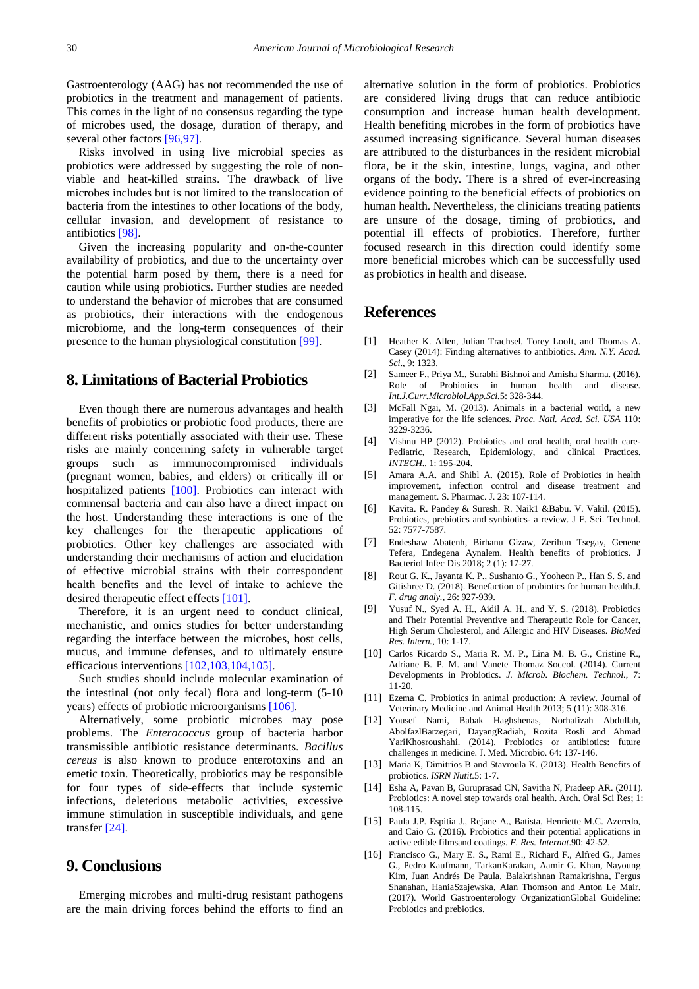Gastroenterology (AAG) has not recommended the use of probiotics in the treatment and management of patients. This comes in the light of no consensus regarding the type of microbes used, the dosage, duration of therapy, and several other factors [\[96,97\].](#page-9-20)

Risks involved in using live microbial species as probiotics were addressed by suggesting the role of nonviable and heat-killed strains. The drawback of live microbes includes but is not limited to the translocation of bacteria from the intestines to other locations of the body, cellular invasion, and development of resistance to antibiotics [\[98\].](#page-9-21)

Given the increasing popularity and on-the-counter availability of probiotics, and due to the uncertainty over the potential harm posed by them, there is a need for caution while using probiotics. Further studies are needed to understand the behavior of microbes that are consumed as probiotics, their interactions with the endogenous microbiome, and the long-term consequences of their presence to the human physiological constitution [\[99\].](#page-9-22)

# **8. Limitations of Bacterial Probiotics**

Even though there are numerous advantages and health benefits of probiotics or probiotic food products, there are different risks potentially associated with their use. These risks are mainly concerning safety in vulnerable target groups such as immunocompromised individuals (pregnant women, babies, and elders) or critically ill or hospitalized patients [\[100\].](#page-9-23) Probiotics can interact with commensal bacteria and can also have a direct impact on the host. Understanding these interactions is one of the key challenges for the therapeutic applications of probiotics. Other key challenges are associated with understanding their mechanisms of action and elucidation of effective microbial strains with their correspondent health benefits and the level of intake to achieve the desired therapeutic effect effects [\[101\].](#page-9-24)

Therefore, it is an urgent need to conduct clinical, mechanistic, and omics studies for better understanding regarding the interface between the microbes, host cells, mucus, and immune defenses, and to ultimately ensure efficacious interventions [\[102,103,104,105\].](#page-9-25)

Such studies should include molecular examination of the intestinal (not only fecal) flora and long-term (5-10 years) effects of probiotic microorganisms [\[106\].](#page-10-0)

Alternatively, some probiotic microbes may pose problems. The *Enterococcus* group of bacteria harbor transmissible antibiotic resistance determinants. *Bacillus cereus* is also known to produce enterotoxins and an emetic toxin. Theoretically, probiotics may be responsible for four types of side-effects that include systemic infections, deleterious metabolic activities, excessive immune stimulation in susceptible individuals, and gene transfe[r \[24\].](#page-8-7)

### **9. Conclusions**

Emerging microbes and multi-drug resistant pathogens are the main driving forces behind the efforts to find an alternative solution in the form of probiotics. Probiotics are considered living drugs that can reduce antibiotic consumption and increase human health development. Health benefiting microbes in the form of probiotics have assumed increasing significance. Several human diseases are attributed to the disturbances in the resident microbial flora, be it the skin, intestine, lungs, vagina, and other organs of the body. There is a shred of ever-increasing evidence pointing to the beneficial effects of probiotics on human health. Nevertheless, the clinicians treating patients are unsure of the dosage, timing of probiotics, and potential ill effects of probiotics. Therefore, further focused research in this direction could identify some more beneficial microbes which can be successfully used as probiotics in health and disease.

### **References**

- <span id="page-7-0"></span>[1] Heather K. Allen, Julian Trachsel, Torey Looft, and Thomas A. Casey (2014): Finding alternatives to antibiotics. *Ann. N.Y. Acad. Sci*., 9: 1323.
- <span id="page-7-1"></span>[2] Sameer F., Priya M., Surabhi Bishnoi and Amisha Sharma. (2016). Role of Probiotics in human health and disease. *Int.J.Curr.Microbiol.App.Sci.*5: 328-344.
- <span id="page-7-2"></span>[3] McFall Ngai, M. (2013). Animals in a bacterial world, a new imperative for the life sciences. *Proc. Natl. Acad. Sci. USA* 110: 3229-3236.
- [4] Vishnu HP (2012). Probiotics and oral health, oral health care-Pediatric, Research, Epidemiology, and clinical Practices. *INTECH*., 1: 195-204.
- <span id="page-7-3"></span>[5] Amara A.A. and Shibl A. (2015). Role of Probiotics in health improvement, infection control and disease treatment and management. S. Pharmac. J. 23: 107-114.
- <span id="page-7-4"></span>[6] Kavita. R. Pandey & Suresh. R. Naik1 &Babu. V. Vakil. (2015). Probiotics, prebiotics and synbiotics- a review. J F. Sci. Technol. 52: 7577-7587.
- <span id="page-7-5"></span>[7] Endeshaw Abatenh, Birhanu Gizaw, Zerihun Tsegay, Genene Tefera, Endegena Aynalem. Health benefits of probiotics. J Bacteriol Infec Dis 2018; 2 (1): 17-27.
- <span id="page-7-6"></span>[8] Rout G. K., Jayanta K. P., Sushanto G., Yooheon P., Han S. S. and Gitishree D. (2018). Benefaction of probiotics for human health.J*. F. drug analy.,* 26: 927-939.
- <span id="page-7-7"></span>[9] Yusuf N., Syed A. H., Aidil A. H., and Y. S. (2018). Probiotics and Their Potential Preventive and Therapeutic Role for Cancer, High Serum Cholesterol, and Allergic and HIV Diseases. *BioMed Res. Intern.,* 10: 1-17.
- <span id="page-7-8"></span>[10] Carlos Ricardo S., Maria R. M. P., Lina M. B. G., Cristine R., Adriane B. P. M. and Vanete Thomaz Soccol. (2014). Current Developments in Probiotics. *J. Microb. Biochem. Technol*., 7: 11-20.
- <span id="page-7-9"></span>[11] Ezema C. Probiotics in animal production: A review. Journal of Veterinary Medicine and Animal Health 2013; 5 (11): 308-316.
- <span id="page-7-10"></span>[12] Yousef Nami, Babak Haghshenas, Norhafizah Abdullah, AbolfazlBarzegari, DayangRadiah, Rozita Rosli and Ahmad YariKhosroushahi. (2014). Probiotics or antibiotics: future challenges in medicine. J. Med. Microbio. 64: 137-146.
- <span id="page-7-11"></span>[13] Maria K, Dimitrios B and Stavroula K. (2013). Health Benefits of probiotics. *ISRN Nutit*.5: 1-7.
- <span id="page-7-12"></span>[14] Esha A, Pavan B, Guruprasad CN, Savitha N, Pradeep AR. (2011). Probiotics: A novel step towards oral health. Arch. Oral Sci Res; 1: 108-115.
- <span id="page-7-13"></span>[15] Paula J.P. Espitia J., Rejane A., Batista, Henriette M.C. Azeredo, and Caio G. (2016). Probiotics and their potential applications in active edible filmsand coatings. *F. Res. Internat.*90: 42-52.
- <span id="page-7-14"></span>[16] Francisco G., Mary E. S., Rami E., Richard F., Alfred G., James G., Pedro Kaufmann, TarkanKarakan, Aamir G. Khan, Nayoung Kim, Juan Andrés De Paula, Balakrishnan Ramakrishna, Fergus Shanahan, HaniaSzajewska, Alan Thomson and Anton Le Mair. (2017). World Gastroenterology OrganizationGlobal Guideline: Probiotics and prebiotics.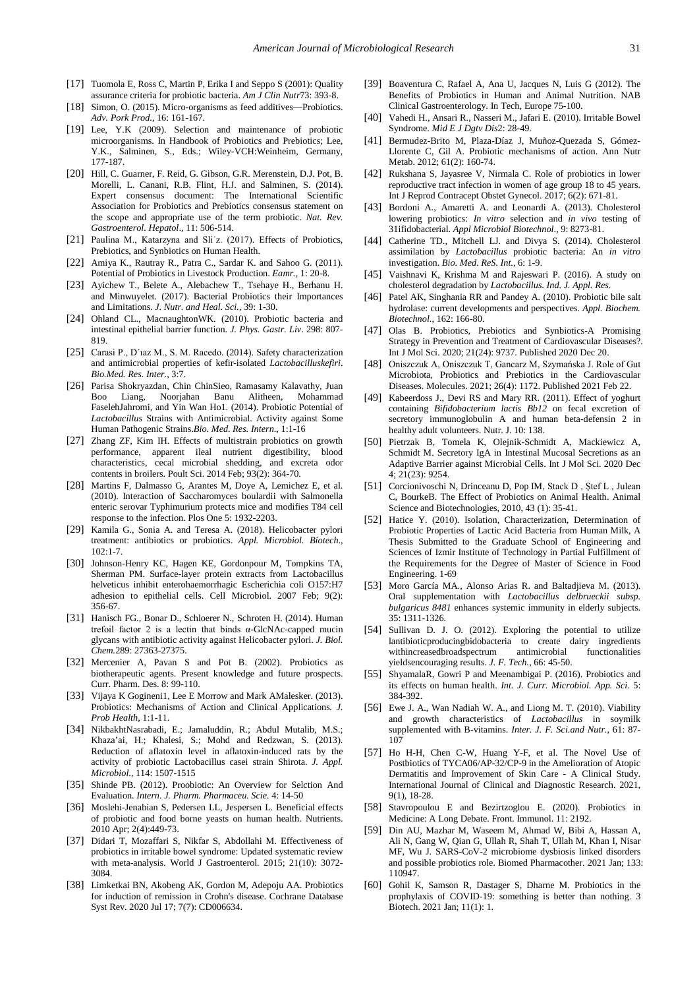- <span id="page-8-0"></span>[17] Tuomola E, Ross C, Martin P, Erika I and Seppo S (2001): Quality assurance criteria for probiotic bacteria. *Am J Clin Nutr*73: 393-8.
- <span id="page-8-1"></span>[18] Simon, O. (2015). Micro-organisms as feed additives—Probiotics. *Adv. Pork Prod*., 16: 161-167.
- <span id="page-8-2"></span>[19] Lee, Y.K (2009). Selection and maintenance of probiotic microorganisms. In Handbook of Probiotics and Prebiotics; Lee, Y.K., Salminen, S., Eds.; Wiley-VCH:Weinheim, Germany, 177-187.
- <span id="page-8-3"></span>[20] Hill, C. Guarner, F. Reid, G. Gibson, G.R. Merenstein, D.J. Pot, B. Morelli, L. Canani, R.B. Flint, H.J. and Salminen, S. (2014). Expert consensus document: The International Scientific Association for Probiotics and Prebiotics consensus statement on the scope and appropriate use of the term probiotic. *Nat. Rev. Gastroenterol. Hepatol*., 11: 506-514.
- <span id="page-8-4"></span>[21] Paulina M., Katarzyna and Sli<sup>t</sup>z. (2017). Effects of Probiotics, Prebiotics, and Synbiotics on Human Health.
- <span id="page-8-5"></span>[22] Amiya K., Rautray R., Patra C., Sardar K. and Sahoo G. (2011). Potential of Probiotics in Livestock Production. *Eamr.,* 1: 20-8.
- <span id="page-8-6"></span>[23] Ayichew T., Belete A., Alebachew T., Tsehaye H., Berhanu H. and Minwuyelet. (2017). Bacterial Probiotics their Importances and Limitations. *J. Nutr. and Heal. Sci.,* 39: 1-30.
- <span id="page-8-7"></span>[24] Ohland CL., MacnaughtonWK. (2010). Probiotic bacteria and intestinal epithelial barrier function. *J. Phys. Gastr. Liv*. 298: 807- 819.
- <span id="page-8-8"></span>[25] Carasi P., D´ıaz M., S. M. Racedo. (2014). Safety characterization and antimicrobial properties of kefir-isolated *Lactobacilluskefiri*. *Bio.Med. Res. Inter.*, 3:7.
- <span id="page-8-9"></span>[26] Parisa Shokryazdan, Chin ChinSieo, Ramasamy Kalavathy, Juan Boo Liang, Noorjahan Banu Alitheen, Mohammad FaselehJahromi, and Yin Wan Ho1. (2014). Probiotic Potential of *Lactobacillus* Strains with Antimicrobial. Activity against Some Human Pathogenic Strains.*Bio. Med. Res. Intern*., 1:1-16
- <span id="page-8-10"></span>[27] Zhang ZF, Kim IH. Effects of multistrain probiotics on growth performance, apparent ileal nutrient digestibility, blood characteristics, cecal microbial shedding, and excreta odor contents in broilers. Poult Sci. 2014 Feb; 93(2): 364-70.
- <span id="page-8-11"></span>[28] Martins F, Dalmasso G, Arantes M, Doye A, Lemichez E, et al. (2010). Interaction of Saccharomyces boulardii with Salmonella enteric serovar Typhimurium protects mice and modifies T84 cell response to the infection. Plos One 5: 1932-2203.
- <span id="page-8-12"></span>[29] Kamila G., Sonia A. and Teresa A. (2018). Helicobacter pylori treatment: antibiotics or probiotics. *Appl. Microbiol. Biotech*.,  $102:1-7$
- <span id="page-8-13"></span>[30] Johnson-Henry KC, Hagen KE, Gordonpour M, Tompkins TA, Sherman PM. Surface-layer protein extracts from Lactobacillus helveticus inhibit enterohaemorrhagic Escherichia coli O157:H7 adhesion to epithelial cells. Cell Microbiol. 2007 Feb; 9(2): 356-67.
- <span id="page-8-14"></span>[31] Hanisch FG., Bonar D., Schloerer N., Schroten H. (2014). Human trefoil factor 2 is a lectin that binds α-GlcNAc-capped mucin glycans with antibiotic activity against Helicobacter pylori. *J. Biol. Chem.*289: 27363-27375.
- <span id="page-8-15"></span>[32] Mercenier A, Pavan S and Pot B. (2002). Probiotics as biotherapeutic agents. Present knowledge and future prospects. Curr. Pharm. Des. 8: 99-110.
- <span id="page-8-16"></span>[33] Vijaya K Gogineni1, Lee E Morrow and Mark AMalesker. (2013). Probiotics: Mechanisms of Action and Clinical Applications*. J. Prob Health*, 1:1-11.
- <span id="page-8-17"></span>[34] NikbakhtNasrabadi, E.; Jamaluddin, R.; Abdul Mutalib, M.S.; Khaza'ai, H.; Khalesi, S.; Mohd and Redzwan, S. (2013). Reduction of aflatoxin level in aflatoxin-induced rats by the activity of probiotic Lactobacillus casei strain Shirota. *J. Appl. Microbiol*., 114: 1507-1515
- <span id="page-8-18"></span>[35] Shinde PB. (2012). Proobiotic: An Overview for Selction And Evaluation. *Intern. J. Pharm. Pharmaceu. Scie.* 4: 14-50
- <span id="page-8-19"></span>[36] Moslehi-Jenabian S, Pedersen LL, Jespersen L. Beneficial effects of probiotic and food borne yeasts on human health. Nutrients. 2010 Apr; 2(4):449-73.
- <span id="page-8-20"></span>[37] Didari T, Mozaffari S, Nikfar S, Abdollahi M. Effectiveness of probiotics in irritable bowel syndrome: Updated systematic review with meta-analysis. World J Gastroenterol. 2015; 21(10): 3072- 3084.
- <span id="page-8-21"></span>[38] Limketkai BN, Akobeng AK, Gordon M, Adepoju AA. Probiotics for induction of remission in Crohn's disease. Cochrane Database Syst Rev. 2020 Jul 17; 7(7): CD006634.
- [39] Boaventura C, Rafael A, Ana U, Jacques N, Luis G (2012). The Benefits of Probiotics in Human and Animal Nutrition. NAB Clinical Gastroenterology. In Tech, Europe 75-100.
- <span id="page-8-22"></span>[40] Vahedi H., Ansari R., Nasseri M., Jafari E. (2010). Irritable Bowel Syndrome. *Mid E J Dgtv Dis*2: 28-49.
- [41] Bermudez-Brito M, Plaza-Díaz J, Muñoz-Quezada S, Gómez-Llorente C, Gil A. Probiotic mechanisms of action. Ann Nutr Metab. 2012; 61(2): 160-74.
- <span id="page-8-23"></span>[42] Rukshana S, Jayasree V, Nirmala C. Role of probiotics in lower reproductive tract infection in women of age group 18 to 45 years. Int J Reprod Contracept Obstet Gynecol. 2017; 6(2): 671-81.
- <span id="page-8-24"></span>[43] Bordoni A., Amaretti A. and Leonardi A. (2013). Cholesterol lowering probiotics: *In vitro* selection and *in vivo* testing of 31ifidobacterial. *Appl Microbiol Biotechnol*., 9: 8273-81.
- <span id="page-8-25"></span>[44] Catherine TD., Mitchell LJ. and Divya S. (2014). Cholesterol assimilation by *Lactobacillus* probiotic bacteria: An *in vitro* investigation. *Bio. Med. ReS. Int*., 6: 1-9.
- <span id="page-8-26"></span>[45] Vaishnavi K, Krishma M and Rajeswari P. (2016). A study on cholesterol degradation by *Lactobacillus*. *Ind. J. Appl. Res*.
- <span id="page-8-27"></span>[46] Patel AK, Singhania RR and Pandey A. (2010). Probiotic bile salt hydrolase: current developments and perspectives. *Appl. Biochem. Biotechnol*., 162: 166-80.
- <span id="page-8-28"></span>[47] Olas B. Probiotics, Prebiotics and Synbiotics-A Promising Strategy in Prevention and Treatment of Cardiovascular Diseases?. Int J Mol Sci. 2020; 21(24): 9737. Published 2020 Dec 20.
- [48] Oniszczuk A, Oniszczuk T, Gancarz M, Szymańska J. Role of Gut Microbiota, Probiotics and Prebiotics in the Cardiovascular Diseases. Molecules. 2021; 26(4): 1172. Published 2021 Feb 22.
- <span id="page-8-29"></span>[49] Kabeerdoss J., Devi RS and Mary RR. (2011). Effect of yoghurt containing *Bifidobacterium lactis Bb12* on fecal excretion of secretory immunoglobulin A and human beta-defensin 2 in healthy adult volunteers. Nutr. J. 10: 138.
- <span id="page-8-30"></span>[50] Pietrzak B, Tomela K, Olejnik-Schmidt A, Mackiewicz A, Schmidt M. Secretory IgA in Intestinal Mucosal Secretions as an Adaptive Barrier against Microbial Cells. Int J Mol Sci. 2020 Dec  $4:21(23):9254$
- <span id="page-8-37"></span>[51] Corcionivoschi N, Drinceanu D, Pop IM, Stack D , Ştef L , Julean C, BourkeB. The Effect of Probiotics on Animal Health. Animal Science and Biotechnologies, 2010, 43 (1): 35-41.
- <span id="page-8-31"></span>[52] Hatice Y. (2010). Isolation, Characterization, Determination of Probiotic Properties of Lactic Acid Bacteria from Human Milk, A Thesis Submitted to the Graduate School of Engineering and Sciences of Izmir Institute of Technology in Partial Fulfillment of the Requirements for the Degree of Master of Science in Food Engineering. 1-69
- <span id="page-8-32"></span>[53] Moro García MA., Alonso Arias R. and Baltadjieva M. (2013). Oral supplementation with *Lactobacillus delbrueckii subsp. bulgaricus 8481* enhances systemic immunity in elderly subjects. 35: 1311-1326.
- <span id="page-8-33"></span>[54] Sullivan D. J. O. (2012). Exploring the potential to utilize lantibioticproducingbidobacteria to create dairy ingredients withincreasedbroadspectrum antimicrobial functionalities yieldsencouraging results. *J. F. Tech.*, 66: 45-50.
- <span id="page-8-34"></span>[55] ShyamalaR, Gowri P and Meenambigai P. (2016). Probiotics and its effects on human health. *Int. J. Curr. Microbiol. App. Sci*. 5: 384-392.
- <span id="page-8-35"></span>[56] Ewe J. A., Wan Nadiah W. A., and Liong M. T. (2010). Viability and growth characteristics of *Lactobacillus* in soymilk supplemented with B-vitamins. *Inter. J. F. Sci.and Nutr.*, 61: 87- 107
- <span id="page-8-36"></span>[57] Ho H-H, Chen C-W, Huang Y-F, et al. The Novel Use of Postbiotics of TYCA06/AP-32/CP-9 in the Amelioration of Atopic Dermatitis and Improvement of Skin Care - A Clinical Study. International Journal of Clinical and Diagnostic Research. 2021, 9(1), 18-28.
- <span id="page-8-38"></span>[58] Stavropoulou E and Bezirtzoglou E. (2020). Probiotics in Medicine: A Long Debate. Front. Immunol. 11: 2192.
- <span id="page-8-39"></span>[59] Din AU, Mazhar M, Waseem M, Ahmad W, Bibi A, Hassan A, Ali N, Gang W, Qian G, Ullah R, Shah T, Ullah M, Khan I, Nisar MF, Wu J. SARS-CoV-2 microbiome dysbiosis linked disorders and possible probiotics role. Biomed Pharmacother. 2021 Jan; 133: 110947.
- <span id="page-8-40"></span>[60] Gohil K, Samson R, Dastager S, Dharne M. Probiotics in the prophylaxis of COVID-19: something is better than nothing. 3 Biotech. 2021 Jan; 11(1): 1.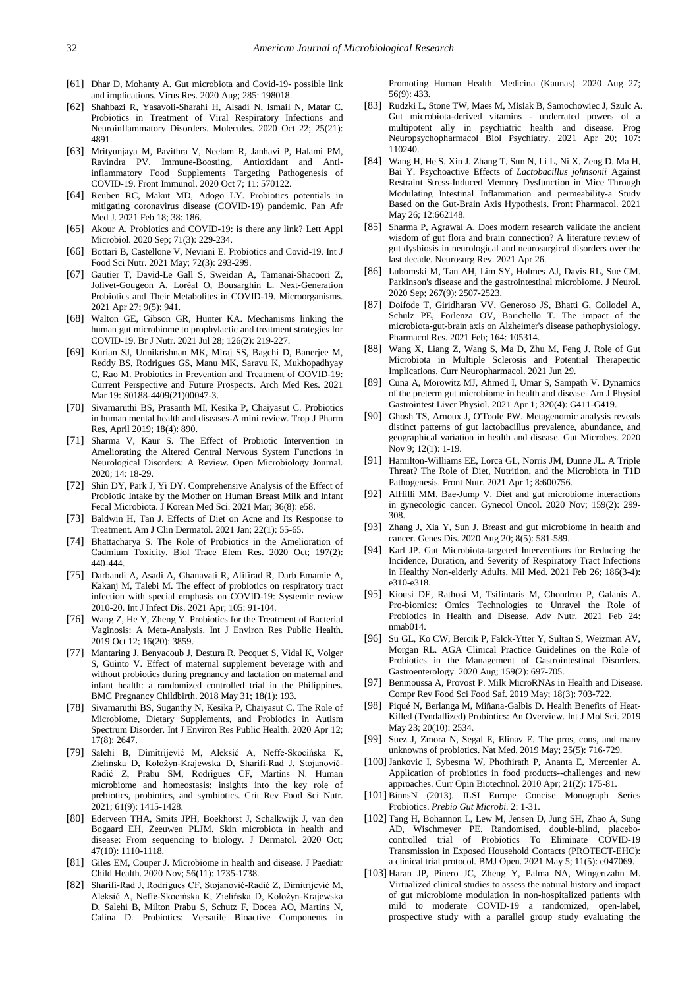- [61] Dhar D, Mohanty A. Gut microbiota and Covid-19- possible link and implications. Virus Res. 2020 Aug; 285: 198018.
- [62] Shahbazi R, Yasavoli-Sharahi H, Alsadi N, Ismail N, Matar C. Probiotics in Treatment of Viral Respiratory Infections and Neuroinflammatory Disorders. Molecules. 2020 Oct 22; 25(21): 4891.
- [63] Mrityunjaya M, Pavithra V, Neelam R, Janhavi P, Halami PM, Ravindra PV. Immune-Boosting, Antioxidant and Antiinflammatory Food Supplements Targeting Pathogenesis of COVID-19. Front Immunol. 2020 Oct 7; 11: 570122.
- [64] Reuben RC, Makut MD, Adogo LY. Probiotics potentials in mitigating coronavirus disease (COVID-19) pandemic. Pan Afr Med J. 2021 Feb 18; 38: 186.
- <span id="page-9-0"></span>[65] Akour A. Probiotics and COVID-19: is there any link? Lett Appl Microbiol. 2020 Sep; 71(3): 229-234.
- [66] Bottari B, Castellone V, Neviani E. Probiotics and Covid-19. Int J Food Sci Nutr. 2021 May; 72(3): 293-299.
- [67] Gautier T, David-Le Gall S, Sweidan A, Tamanai-Shacoori Z, Jolivet-Gougeon A, Loréal O, Bousarghin L. Next-Generation Probiotics and Their Metabolites in COVID-19. Microorganisms. 2021 Apr 27; 9(5): 941.
- [68] Walton GE, Gibson GR, Hunter KA. Mechanisms linking the human gut microbiome to prophylactic and treatment strategies for COVID-19. Br J Nutr. 2021 Jul 28; 126(2): 219-227.
- [69] Kurian SJ, Unnikrishnan MK, Miraj SS, Bagchi D, Banerjee M, Reddy BS, Rodrigues GS, Manu MK, Saravu K, Mukhopadhyay C, Rao M. Probiotics in Prevention and Treatment of COVID-19: Current Perspective and Future Prospects. Arch Med Res. 2021 Mar 19: S0188-4409(21)00047-3.
- <span id="page-9-1"></span>[70] Sivamaruthi BS, Prasanth MI, Kesika P, Chaiyasut C. Probiotics in human mental health and diseases-A mini review. Trop J Pharm Res, April 2019; 18(4): 890.
- [71] Sharma V, Kaur S. The Effect of Probiotic Intervention in Ameliorating the Altered Central Nervous System Functions in Neurological Disorders: A Review. Open Microbiology Journal. 2020; 14: 18-29.
- <span id="page-9-2"></span>[72] Shin DY, Park J, Yi DY. Comprehensive Analysis of the Effect of Probiotic Intake by the Mother on Human Breast Milk and Infant Fecal Microbiota. J Korean Med Sci. 2021 Mar; 36(8): e58.
- <span id="page-9-3"></span>[73] Baldwin H, Tan J. Effects of Diet on Acne and Its Response to Treatment. Am J Clin Dermatol. 2021 Jan; 22(1): 55-65.
- <span id="page-9-4"></span>[74] Bhattacharya S. The Role of Probiotics in the Amelioration of Cadmium Toxicity. Biol Trace Elem Res. 2020 Oct; 197(2): 440-444.
- <span id="page-9-5"></span>[75] Darbandi A, Asadi A, Ghanavati R, Afifirad R, Darb Emamie A, Kakanj M, Talebi M. The effect of probiotics on respiratory tract infection with special emphasis on COVID-19: Systemic review 2010-20. Int J Infect Dis. 2021 Apr; 105: 91-104.
- <span id="page-9-6"></span>[76] Wang Z, He Y, Zheng Y. Probiotics for the Treatment of Bacterial Vaginosis: A Meta-Analysis. Int J Environ Res Public Health. 2019 Oct 12; 16(20): 3859.
- <span id="page-9-7"></span>[77] Mantaring J, Benyacoub J, Destura R, Pecquet S, Vidal K, Volger S, Guinto V. Effect of maternal supplement beverage with and without probiotics during pregnancy and lactation on maternal and infant health: a randomized controlled trial in the Philippines. BMC Pregnancy Childbirth. 2018 May 31; 18(1): 193.
- <span id="page-9-8"></span>[78] Sivamaruthi BS, Suganthy N, Kesika P, Chaiyasut C. The Role of Microbiome, Dietary Supplements, and Probiotics in Autism Spectrum Disorder. Int J Environ Res Public Health. 2020 Apr 12; 17(8): 2647.
- <span id="page-9-9"></span>[79] Salehi B, Dimitrijević M, Aleksić A, Neffe-Skocińska K, Zielińska D, Kołożyn-Krajewska D, Sharifi-Rad J, Stojanović-Radić Z, Prabu SM, Rodrigues CF, Martins N. Human microbiome and homeostasis: insights into the key role of prebiotics, probiotics, and symbiotics. Crit Rev Food Sci Nutr. 2021; 61(9): 1415-1428.
- <span id="page-9-10"></span>[80] Ederveen THA, Smits JPH, Boekhorst J, Schalkwijk J, van den Bogaard EH, Zeeuwen PLJM. Skin microbiota in health and disease: From sequencing to biology. J Dermatol. 2020 Oct; 47(10): 1110-1118.
- [81] Giles EM, Couper J. Microbiome in health and disease. J Paediatr Child Health. 2020 Nov; 56(11): 1735-1738.
- <span id="page-9-11"></span>[82] Sharifi-Rad J, Rodrigues CF, Stojanović-Radić Z, Dimitrijević M, Aleksić A, Neffe-Skocińska K, Zielińska D, Kołożyn-Krajewska D, Salehi B, Milton Prabu S, Schutz F, Docea AO, Martins N, Calina D. Probiotics: Versatile Bioactive Components in

Promoting Human Health. Medicina (Kaunas). 2020 Aug 27; 56(9): 433.

- <span id="page-9-12"></span>[83] Rudzki L, Stone TW, Maes M, Misiak B, Samochowiec J, Szulc A. Gut microbiota-derived vitamins - underrated powers of a multipotent ally in psychiatric health and disease. Prog Neuropsychopharmacol Biol Psychiatry. 2021 Apr 20; 107: 110240.
- [84] Wang H, He S, Xin J, Zhang T, Sun N, Li L, Ni X, Zeng D, Ma H, Bai Y. Psychoactive Effects of *Lactobacillus johnsonii* Against Restraint Stress-Induced Memory Dysfunction in Mice Through Modulating Intestinal Inflammation and permeability-a Study Based on the Gut-Brain Axis Hypothesis. Front Pharmacol. 2021 May 26; 12:662148.
- [85] Sharma P, Agrawal A. Does modern research validate the ancient wisdom of gut flora and brain connection? A literature review of gut dysbiosis in neurological and neurosurgical disorders over the last decade. Neurosurg Rev. 2021 Apr 26.
- <span id="page-9-13"></span>[86] Lubomski M, Tan AH, Lim SY, Holmes AJ, Davis RL, Sue CM. Parkinson's disease and the gastrointestinal microbiome. J Neurol. 2020 Sep; 267(9): 2507-2523.
- [87] Doifode T, Giridharan VV, Generoso JS, Bhatti G, Collodel A, Schulz PE, Forlenza OV, Barichello T. The impact of the microbiota-gut-brain axis on Alzheimer's disease pathophysiology. Pharmacol Res. 2021 Feb; 164: 105314.
- [88] Wang X, Liang Z, Wang S, Ma D, Zhu M, Feng J. Role of Gut Microbiota in Multiple Sclerosis and Potential Therapeutic Implications. Curr Neuropharmacol. 2021 Jun 29.
- <span id="page-9-14"></span>[89] Cuna A, Morowitz MJ, Ahmed I, Umar S, Sampath V. Dynamics of the preterm gut microbiome in health and disease. Am J Physiol Gastrointest Liver Physiol. 2021 Apr 1; 320(4): G411-G419.
- <span id="page-9-15"></span>[90] Ghosh TS, Arnoux J, O'Toole PW. Metagenomic analysis reveals distinct patterns of gut lactobacillus prevalence, abundance, and geographical variation in health and disease. Gut Microbes. 2020 Nov 9; 12(1): 1-19.
- <span id="page-9-16"></span>[91] Hamilton-Williams EE, Lorca GL, Norris JM, Dunne JL. A Triple Threat? The Role of Diet, Nutrition, and the Microbiota in T1D Pathogenesis. Front Nutr. 2021 Apr 1; 8:600756.
- <span id="page-9-17"></span>[92] AlHilli MM, Bae-Jump V. Diet and gut microbiome interactions in gynecologic cancer. Gynecol Oncol. 2020 Nov; 159(2): 299- 308.
- [93] Zhang J, Xia Y, Sun J. Breast and gut microbiome in health and cancer. Genes Dis. 2020 Aug 20; 8(5): 581-589.
- <span id="page-9-18"></span>[94] Karl JP. Gut Microbiota-targeted Interventions for Reducing the Incidence, Duration, and Severity of Respiratory Tract Infections in Healthy Non-elderly Adults. Mil Med. 2021 Feb 26; 186(3-4): e310-e318.
- <span id="page-9-19"></span>[95] Kiousi DE, Rathosi M, Tsifintaris M, Chondrou P, Galanis A. Pro-biomics: Omics Technologies to Unravel the Role of Probiotics in Health and Disease. Adv Nutr. 2021 Feb 24: nmab014.
- <span id="page-9-20"></span>[96] Su GL, Ko CW, Bercik P, Falck-Ytter Y, Sultan S, Weizman AV, Morgan RL. AGA Clinical Practice Guidelines on the Role of Probiotics in the Management of Gastrointestinal Disorders. Gastroenterology. 2020 Aug; 159(2): 697-705.
- [97] Benmoussa A, Provost P. Milk MicroRNAs in Health and Disease. Compr Rev Food Sci Food Saf. 2019 May; 18(3): 703-722.
- <span id="page-9-21"></span>[98] Piqué N, Berlanga M, Miñana-Galbis D. Health Benefits of Heat-Killed (Tyndallized) Probiotics: An Overview. Int J Mol Sci. 2019 May 23; 20(10): 2534.
- <span id="page-9-22"></span>[99] Suez J, Zmora N, Segal E, Elinav E. The pros, cons, and many unknowns of probiotics. Nat Med. 2019 May; 25(5): 716-729.
- <span id="page-9-23"></span>[100] Jankovic I, Sybesma W, Phothirath P, Ananta E, Mercenier A. Application of probiotics in food products--challenges and new approaches. Curr Opin Biotechnol. 2010 Apr; 21(2): 175-81.
- <span id="page-9-24"></span>[101] BinnsN (2013). ILSI Europe Concise Monograph Series Probiotics. *Prebio Gut Microbi.* 2: 1-31.
- <span id="page-9-25"></span>[102] Tang H, Bohannon L, Lew M, Jensen D, Jung SH, Zhao A, Sung AD, Wischmeyer PE. Randomised, double-blind, placebocontrolled trial of Probiotics To Eliminate COVID-19 Transmission in Exposed Household Contacts (PROTECT-EHC): a clinical trial protocol. BMJ Open. 2021 May 5; 11(5): e047069.
- [103] Haran JP, Pinero JC, Zheng Y, Palma NA, Wingertzahn M. Virtualized clinical studies to assess the natural history and impact of gut microbiome modulation in non-hospitalized patients with mild to moderate COVID-19 a randomized, open-label, prospective study with a parallel group study evaluating the